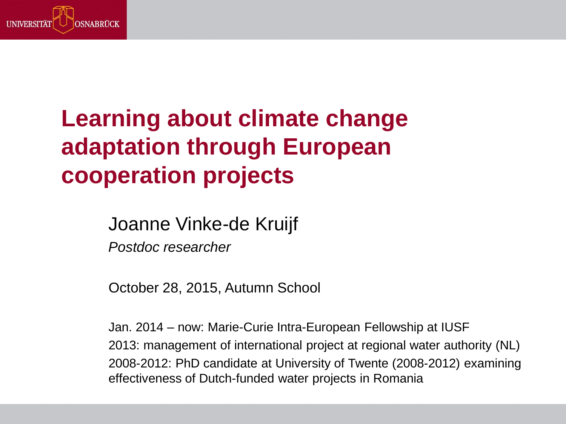

## **Learning about climate change adaptation through European cooperation projects**

Joanne Vinke-de Kruijf

*Postdoc researcher*

October 28, 2015, Autumn School

Jan. 2014 – now: Marie-Curie Intra-European Fellowship at IUSF 2013: management of international project at regional water authority (NL) 2008-2012: PhD candidate at University of Twente (2008-2012) examining effectiveness of Dutch-funded water projects in Romania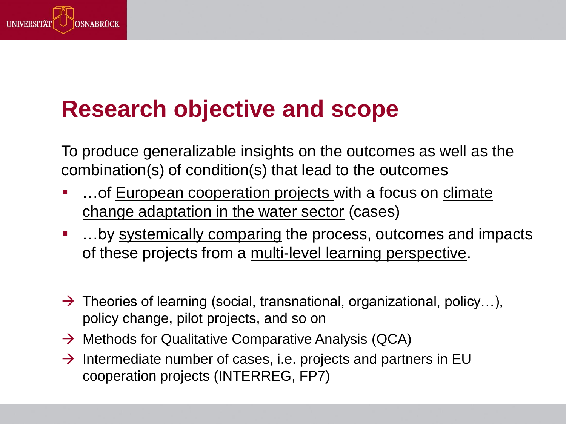

## **Research objective and scope**

To produce generalizable insights on the outcomes as well as the combination(s) of condition(s) that lead to the outcomes

- ... of European cooperation projects with a focus on climate change adaptation in the water sector (cases)
- ...by systemically comparing the process, outcomes and impacts of these projects from a multi-level learning perspective.
- $\rightarrow$  Theories of learning (social, transnational, organizational, policy...), policy change, pilot projects, and so on
- $\rightarrow$  Methods for Qualitative Comparative Analysis (QCA)
- $\rightarrow$  Intermediate number of cases, i.e. projects and partners in EU cooperation projects (INTERREG, FP7)